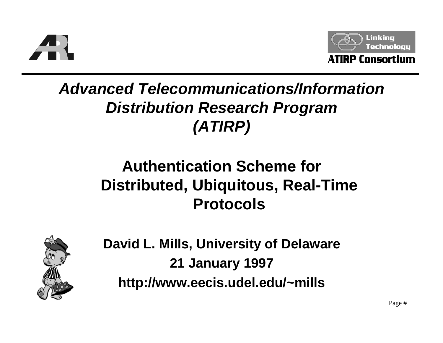



### **Advanced Telecommunications/Information Distribution Research Program (ATIRP)**

### **Authentication Scheme for Distributed, Ubiquitous, Real-Time Protocols**



**David L. Mills, University of Delaware 21 January 1997 http://www.eecis.udel.edu/~mills**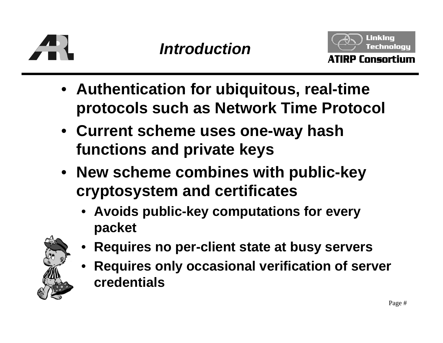



- **Authentication for ubiquitous, real-time protocols such as Network Time Protocol**
- **Current scheme uses one-way hash functions and private keys**
- **New scheme combines with public-key cryptosystem and certificates** 
	- **Avoids public-key computations for every packet**



- •**Requires no per-client state at busy servers**
- • **Requires only occasional verification of server credentials**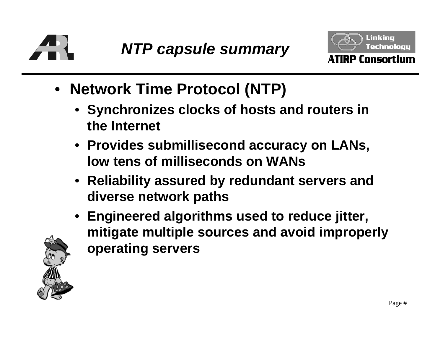



- **Network Time Protocol (NTP)**
	- **Synchronizes clocks of hosts and routers in the Internet**
	- **Provides submillisecond accuracy on LANs, low tens of milliseconds on WANs**
	- **Reliability assured by redundant servers and diverse network paths**
	- **Engineered algorithms used to reduce jitter, mitigate multiple sources and avoid improperly operating servers**

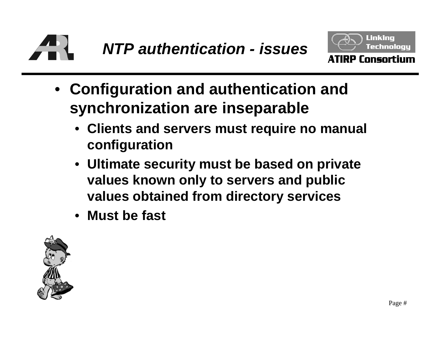



- **Configuration and authentication and synchronization are inseparable**
	- **Clients and servers must require no manual configuration**
	- **Ultimate security must be based on private values known only to servers and public values obtained from directory services**
	- **Must be fast**

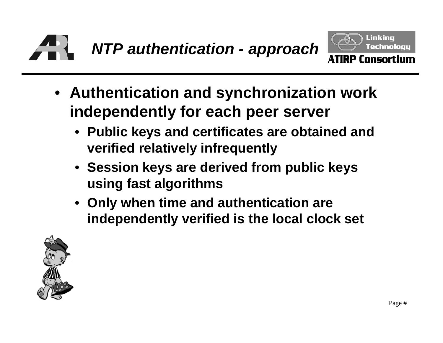



- **Authentication and synchronization work independently for each peer server**
	- • **Public keys and certificates are obtained and verified relatively infrequently**
	- **Session keys are derived from public keys using fast algorithms**
	- **Only when time and authentication are independently verified is the local clock set**

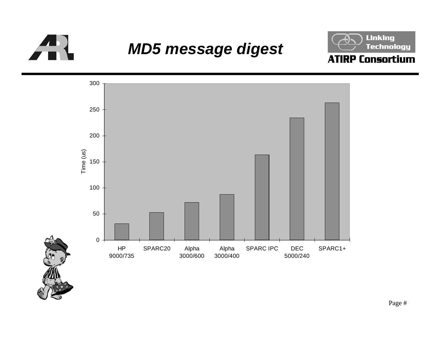

#### **MD5 message digest**



#### **ATIRP Consortium**

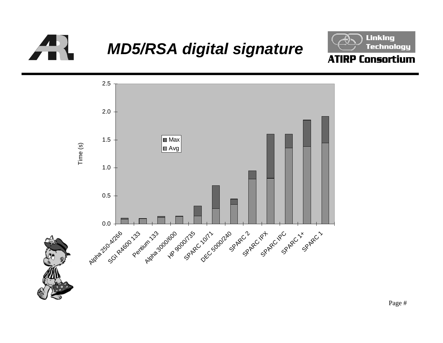

# **MD5/RSA digital signature**



#### **ATIRP Consortium**



Page #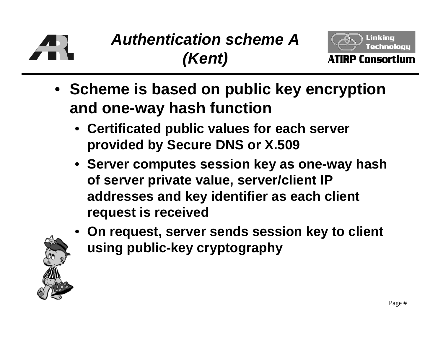

# **Authentication scheme A(Kent)**



**ATIRP Consortium** 

- **Scheme is based on public key encryption and one-way hash function**
	- **Certificated public values for each server provided by Secure DNS or X.509**
	- **Server computes session key as one-way hash of server private value, server/client IP addresses and key identifier as each client request is received**
	- • **On request, server sends session key to client using public-key cryptography**

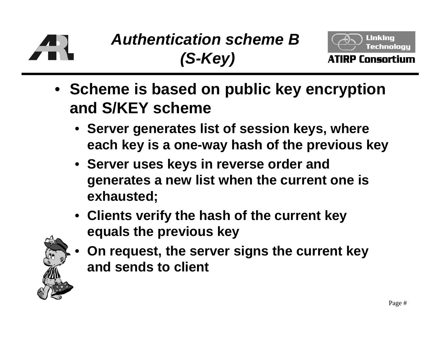

# **Authentication scheme B(S-Key)**



- **Scheme is based on public key encryption and S/KEY scheme**
	- **Server generates list of session keys, where each key is a one-way hash of the previous key**
	- **Server uses keys in reverse order and generates a new list when the current one is exhausted;**
	- **Clients verify the hash of the current key equals the previous key**



 **On request, the server signs the current key and sends to client**